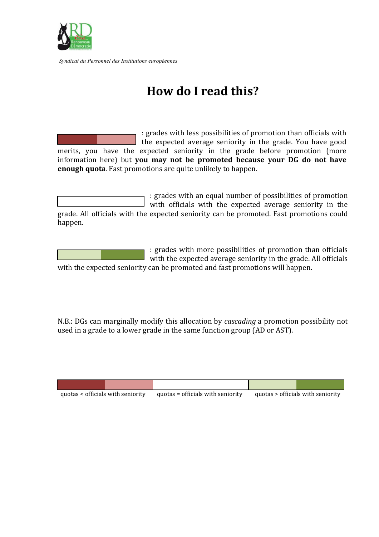

*Syndicat du Personnel des Institutions européennes*

## **How do I read this?**

: grades with less possibilities of promotion than officials with the expected average seniority in the grade. You have good merits, you have the expected seniority in the grade before promotion (more information [here](http://www.renouveau-democratie.eu/help-desk-cdr/average-promotion-speed-and-guarantees-by-commissioner-sefcovic/)) but you may not be promoted because your DG do not have **enough quota**. Fast promotions are quite unlikely to happen. -6 -6 -3 -3

: grades with an equal number of possibilities of promotion with officials with the expected average seniority in the

grade. All officials with the expected seniority can be promoted. Fast promotions could happen.



: grades with more possibilities of promotion than officials with the expected average seniority in the grade. All officials with the expected seniority can be promoted and fast promotions will happen.

N.B.: DGs can marginally modify this allocation by *cascading* a promotion possibility not used in a grade to a lower grade in the same function group (AD or AST).

| quotas < officials with seniority | quotas = officials with seniority | quotas > officials with seniority |
|-----------------------------------|-----------------------------------|-----------------------------------|